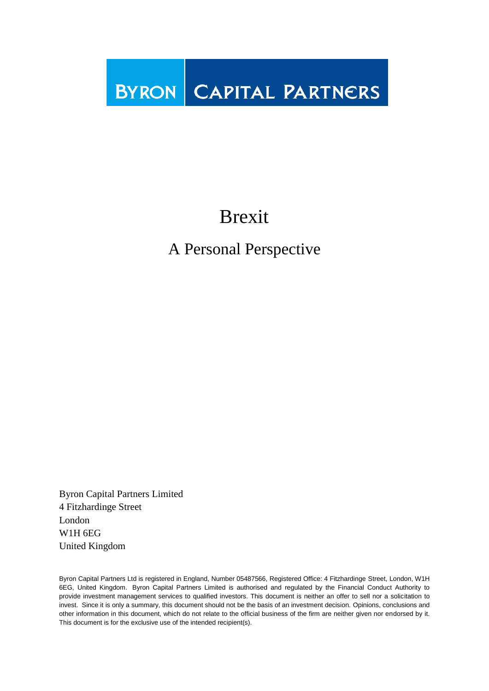**BYRON** CAPITAL PARTNERS

# Brexit

## A Personal Perspective

Byron Capital Partners Limited 4 Fitzhardinge Street London W1H 6EG United Kingdom

Byron Capital Partners Ltd is registered in England, Number 05487566, Registered Office: 4 Fitzhardinge Street, London, W1H 6EG, United Kingdom. Byron Capital Partners Limited is authorised and regulated by the Financial Conduct Authority to provide investment management services to qualified investors. This document is neither an offer to sell nor a solicitation to invest. Since it is only a summary, this document should not be the basis of an investment decision. Opinions, conclusions and other information in this document, which do not relate to the official business of the firm are neither given nor endorsed by it. This document is for the exclusive use of the intended recipient(s).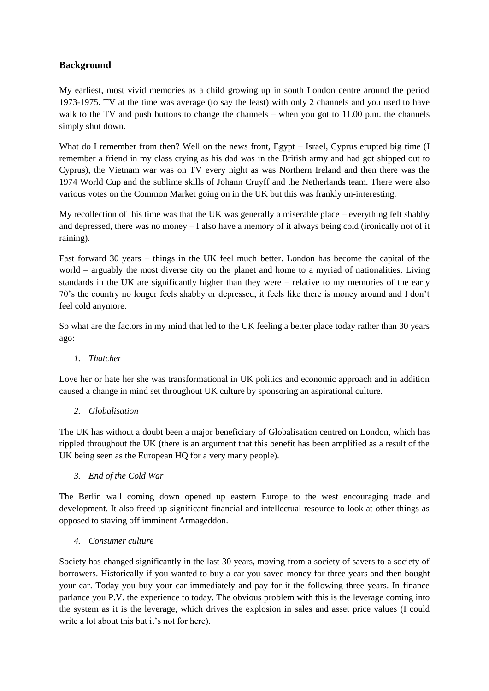### **Background**

My earliest, most vivid memories as a child growing up in south London centre around the period 1973-1975. TV at the time was average (to say the least) with only 2 channels and you used to have walk to the TV and push buttons to change the channels – when you got to 11.00 p.m. the channels simply shut down.

What do I remember from then? Well on the news front, Egypt – Israel, Cyprus erupted big time (I remember a friend in my class crying as his dad was in the British army and had got shipped out to Cyprus), the Vietnam war was on TV every night as was Northern Ireland and then there was the 1974 World Cup and the sublime skills of Johann Cruyff and the Netherlands team. There were also various votes on the Common Market going on in the UK but this was frankly un-interesting.

My recollection of this time was that the UK was generally a miserable place – everything felt shabby and depressed, there was no money – I also have a memory of it always being cold (ironically not of it raining).

Fast forward 30 years – things in the UK feel much better. London has become the capital of the world – arguably the most diverse city on the planet and home to a myriad of nationalities. Living standards in the UK are significantly higher than they were – relative to my memories of the early 70's the country no longer feels shabby or depressed, it feels like there is money around and I don't feel cold anymore.

So what are the factors in my mind that led to the UK feeling a better place today rather than 30 years ago:

#### *1. Thatcher*

Love her or hate her she was transformational in UK politics and economic approach and in addition caused a change in mind set throughout UK culture by sponsoring an aspirational culture.

#### *2. Globalisation*

The UK has without a doubt been a major beneficiary of Globalisation centred on London, which has rippled throughout the UK (there is an argument that this benefit has been amplified as a result of the UK being seen as the European HQ for a very many people).

#### *3. End of the Cold War*

The Berlin wall coming down opened up eastern Europe to the west encouraging trade and development. It also freed up significant financial and intellectual resource to look at other things as opposed to staving off imminent Armageddon.

#### *4. Consumer culture*

Society has changed significantly in the last 30 years, moving from a society of savers to a society of borrowers. Historically if you wanted to buy a car you saved money for three years and then bought your car. Today you buy your car immediately and pay for it the following three years. In finance parlance you P.V. the experience to today. The obvious problem with this is the leverage coming into the system as it is the leverage, which drives the explosion in sales and asset price values (I could write a lot about this but it's not for here).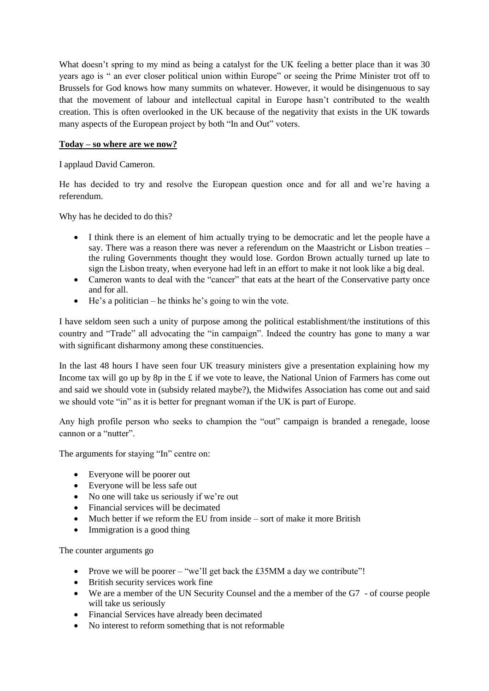What doesn't spring to my mind as being a catalyst for the UK feeling a better place than it was 30 years ago is " an ever closer political union within Europe" or seeing the Prime Minister trot off to Brussels for God knows how many summits on whatever. However, it would be disingenuous to say that the movement of labour and intellectual capital in Europe hasn't contributed to the wealth creation. This is often overlooked in the UK because of the negativity that exists in the UK towards many aspects of the European project by both "In and Out" voters.

#### **Today – so where are we now?**

I applaud David Cameron.

He has decided to try and resolve the European question once and for all and we're having a referendum.

Why has he decided to do this?

- I think there is an element of him actually trying to be democratic and let the people have a say. There was a reason there was never a referendum on the Maastricht or Lisbon treaties – the ruling Governments thought they would lose. Gordon Brown actually turned up late to sign the Lisbon treaty, when everyone had left in an effort to make it not look like a big deal.
- Cameron wants to deal with the "cancer" that eats at the heart of the Conservative party once and for all.
- $\bullet$  He's a politician he thinks he's going to win the vote.

I have seldom seen such a unity of purpose among the political establishment/the institutions of this country and "Trade" all advocating the "in campaign". Indeed the country has gone to many a war with significant disharmony among these constituencies.

In the last 48 hours I have seen four UK treasury ministers give a presentation explaining how my Income tax will go up by 8p in the £ if we vote to leave, the National Union of Farmers has come out and said we should vote in (subsidy related maybe?), the Midwifes Association has come out and said we should vote "in" as it is better for pregnant woman if the UK is part of Europe.

Any high profile person who seeks to champion the "out" campaign is branded a renegade, loose cannon or a "nutter".

The arguments for staying "In" centre on:

- Everyone will be poorer out
- Everyone will be less safe out
- No one will take us seriously if we're out
- Financial services will be decimated
- Much better if we reform the EU from inside sort of make it more British
- Immigration is a good thing

The counter arguments go

- Prove we will be poorer "we'll get back the  $£35MM$  a day we contribute"!
- British security services work fine
- We are a member of the UN Security Counsel and the a member of the G7 of course people will take us seriously
- Financial Services have already been decimated
- No interest to reform something that is not reformable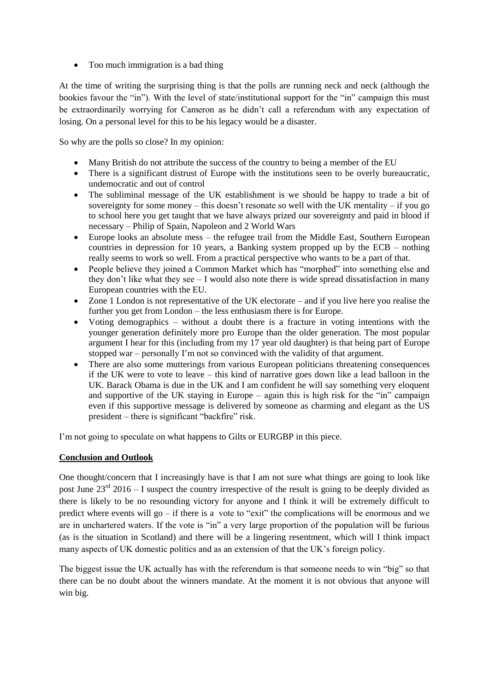• Too much immigration is a bad thing

At the time of writing the surprising thing is that the polls are running neck and neck (although the bookies favour the "in"). With the level of state/institutional support for the "in" campaign this must be extraordinarily worrying for Cameron as he didn't call a referendum with any expectation of losing. On a personal level for this to be his legacy would be a disaster.

So why are the polls so close? In my opinion:

- Many British do not attribute the success of the country to being a member of the EU
- There is a significant distrust of Europe with the institutions seen to be overly bureaucratic, undemocratic and out of control
- The subliminal message of the UK establishment is we should be happy to trade a bit of sovereignty for some money – this doesn't resonate so well with the UK mentality – if you go to school here you get taught that we have always prized our sovereignty and paid in blood if necessary – Philip of Spain, Napoleon and 2 World Wars
- Europe looks an absolute mess the refugee trail from the Middle East, Southern European countries in depression for 10 years, a Banking system propped up by the ECB – nothing really seems to work so well. From a practical perspective who wants to be a part of that.
- People believe they joined a Common Market which has "morphed" into something else and they don't like what they see – I would also note there is wide spread dissatisfaction in many European countries with the EU.
- Zone 1 London is not representative of the UK electorate and if you live here you realise the further you get from London – the less enthusiasm there is for Europe.
- Voting demographics without a doubt there is a fracture in voting intentions with the younger generation definitely more pro Europe than the older generation. The most popular argument I hear for this (including from my 17 year old daughter) is that being part of Europe stopped war – personally I'm not so convinced with the validity of that argument.
- There are also some mutterings from various European politicians threatening consequences if the UK were to vote to leave – this kind of narrative goes down like a lead balloon in the UK. Barack Obama is due in the UK and I am confident he will say something very eloquent and supportive of the UK staying in Europe – again this is high risk for the "in" campaign even if this supportive message is delivered by someone as charming and elegant as the US president – there is significant "backfire" risk.

I'm not going to speculate on what happens to Gilts or EURGBP in this piece.

#### **Conclusion and Outlook**

One thought/concern that I increasingly have is that I am not sure what things are going to look like post June  $23^{\text{rd}}$  2016 – I suspect the country irrespective of the result is going to be deeply divided as there is likely to be no resounding victory for anyone and I think it will be extremely difficult to predict where events will go – if there is a vote to "exit" the complications will be enormous and we are in unchartered waters. If the vote is "in" a very large proportion of the population will be furious (as is the situation in Scotland) and there will be a lingering resentment, which will I think impact many aspects of UK domestic politics and as an extension of that the UK's foreign policy.

The biggest issue the UK actually has with the referendum is that someone needs to win "big" so that there can be no doubt about the winners mandate. At the moment it is not obvious that anyone will win big.